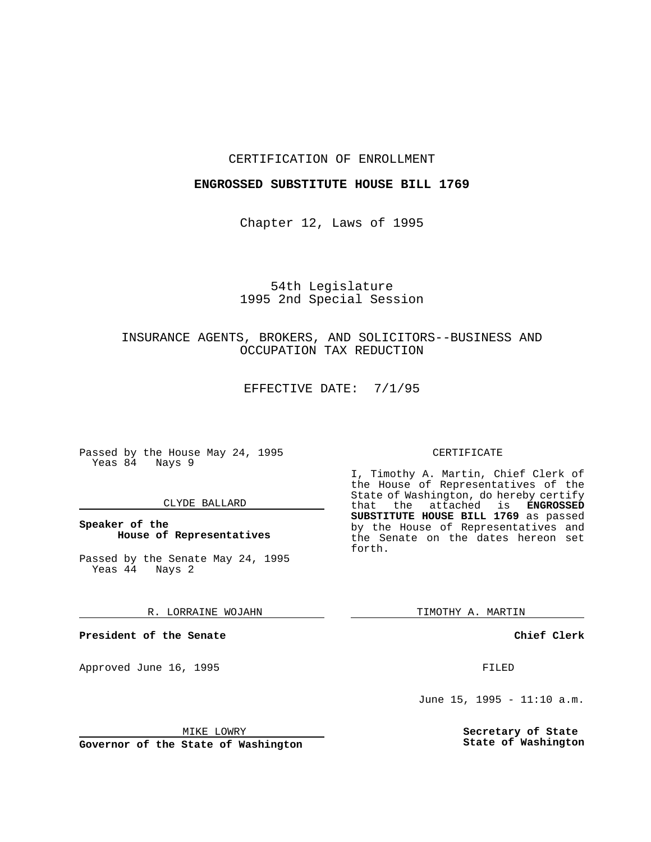## CERTIFICATION OF ENROLLMENT

## **ENGROSSED SUBSTITUTE HOUSE BILL 1769**

Chapter 12, Laws of 1995

## 54th Legislature 1995 2nd Special Session

# INSURANCE AGENTS, BROKERS, AND SOLICITORS--BUSINESS AND OCCUPATION TAX REDUCTION

EFFECTIVE DATE: 7/1/95

Passed by the House May 24, 1995 Yeas 84 Nays 9

#### CLYDE BALLARD

**Speaker of the House of Representatives**

Passed by the Senate May 24, 1995 Yeas 44 Nays 2

### R. LORRAINE WOJAHN

**President of the Senate**

Approved June 16, 1995 FILED

## CERTIFICATE

I, Timothy A. Martin, Chief Clerk of the House of Representatives of the State of Washington, do hereby certify that the attached is **ENGROSSED SUBSTITUTE HOUSE BILL 1769** as passed by the House of Representatives and the Senate on the dates hereon set forth.

TIMOTHY A. MARTIN

**Chief Clerk**

June 15, 1995 - 11:10 a.m.

**Secretary of State State of Washington**

MIKE LOWRY

**Governor of the State of Washington**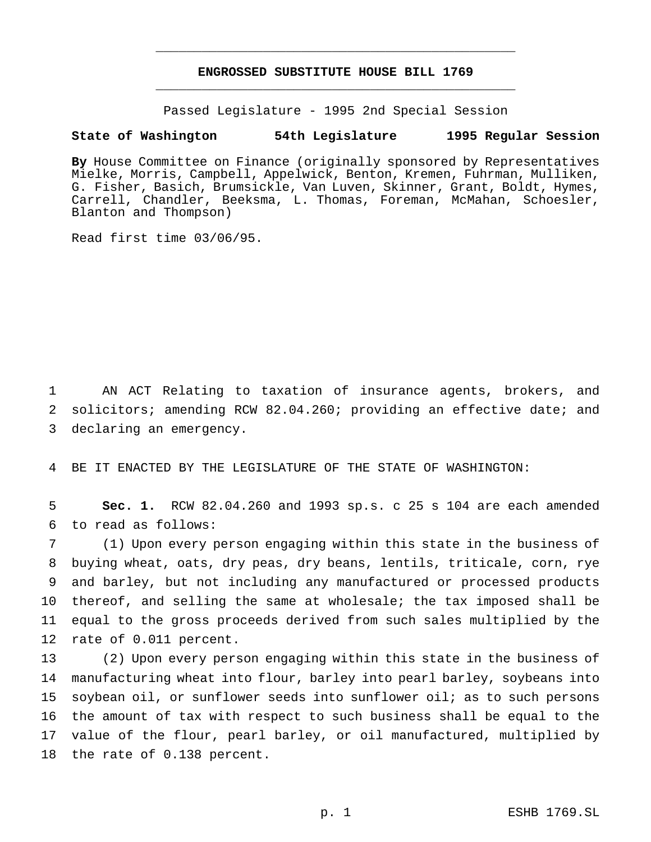# **ENGROSSED SUBSTITUTE HOUSE BILL 1769** \_\_\_\_\_\_\_\_\_\_\_\_\_\_\_\_\_\_\_\_\_\_\_\_\_\_\_\_\_\_\_\_\_\_\_\_\_\_\_\_\_\_\_\_\_\_\_

\_\_\_\_\_\_\_\_\_\_\_\_\_\_\_\_\_\_\_\_\_\_\_\_\_\_\_\_\_\_\_\_\_\_\_\_\_\_\_\_\_\_\_\_\_\_\_

Passed Legislature - 1995 2nd Special Session

## **State of Washington 54th Legislature 1995 Regular Session**

**By** House Committee on Finance (originally sponsored by Representatives Mielke, Morris, Campbell, Appelwick, Benton, Kremen, Fuhrman, Mulliken, G. Fisher, Basich, Brumsickle, Van Luven, Skinner, Grant, Boldt, Hymes, Carrell, Chandler, Beeksma, L. Thomas, Foreman, McMahan, Schoesler, Blanton and Thompson)

Read first time 03/06/95.

1 AN ACT Relating to taxation of insurance agents, brokers, and 2 solicitors; amending RCW 82.04.260; providing an effective date; and 3 declaring an emergency.

4 BE IT ENACTED BY THE LEGISLATURE OF THE STATE OF WASHINGTON:

5 **Sec. 1.** RCW 82.04.260 and 1993 sp.s. c 25 s 104 are each amended 6 to read as follows:

 (1) Upon every person engaging within this state in the business of buying wheat, oats, dry peas, dry beans, lentils, triticale, corn, rye and barley, but not including any manufactured or processed products thereof, and selling the same at wholesale; the tax imposed shall be equal to the gross proceeds derived from such sales multiplied by the rate of 0.011 percent.

 (2) Upon every person engaging within this state in the business of manufacturing wheat into flour, barley into pearl barley, soybeans into soybean oil, or sunflower seeds into sunflower oil; as to such persons the amount of tax with respect to such business shall be equal to the value of the flour, pearl barley, or oil manufactured, multiplied by the rate of 0.138 percent.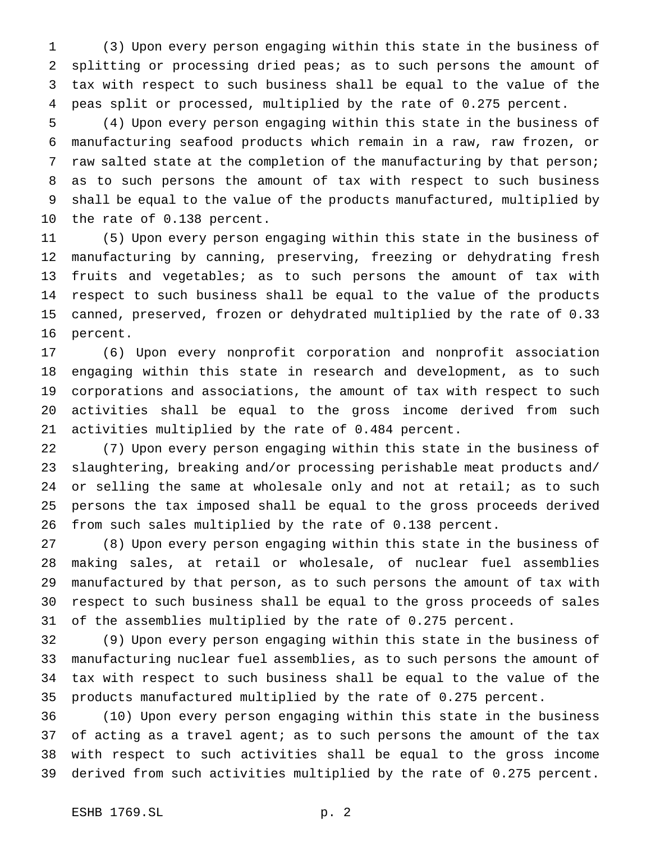(3) Upon every person engaging within this state in the business of splitting or processing dried peas; as to such persons the amount of tax with respect to such business shall be equal to the value of the peas split or processed, multiplied by the rate of 0.275 percent.

 (4) Upon every person engaging within this state in the business of manufacturing seafood products which remain in a raw, raw frozen, or raw salted state at the completion of the manufacturing by that person; as to such persons the amount of tax with respect to such business shall be equal to the value of the products manufactured, multiplied by the rate of 0.138 percent.

 (5) Upon every person engaging within this state in the business of manufacturing by canning, preserving, freezing or dehydrating fresh fruits and vegetables; as to such persons the amount of tax with respect to such business shall be equal to the value of the products canned, preserved, frozen or dehydrated multiplied by the rate of 0.33 percent.

 (6) Upon every nonprofit corporation and nonprofit association engaging within this state in research and development, as to such corporations and associations, the amount of tax with respect to such activities shall be equal to the gross income derived from such activities multiplied by the rate of 0.484 percent.

 (7) Upon every person engaging within this state in the business of slaughtering, breaking and/or processing perishable meat products and/ 24 or selling the same at wholesale only and not at retail; as to such persons the tax imposed shall be equal to the gross proceeds derived from such sales multiplied by the rate of 0.138 percent.

 (8) Upon every person engaging within this state in the business of making sales, at retail or wholesale, of nuclear fuel assemblies manufactured by that person, as to such persons the amount of tax with respect to such business shall be equal to the gross proceeds of sales of the assemblies multiplied by the rate of 0.275 percent.

 (9) Upon every person engaging within this state in the business of manufacturing nuclear fuel assemblies, as to such persons the amount of tax with respect to such business shall be equal to the value of the products manufactured multiplied by the rate of 0.275 percent.

 (10) Upon every person engaging within this state in the business of acting as a travel agent; as to such persons the amount of the tax with respect to such activities shall be equal to the gross income derived from such activities multiplied by the rate of 0.275 percent.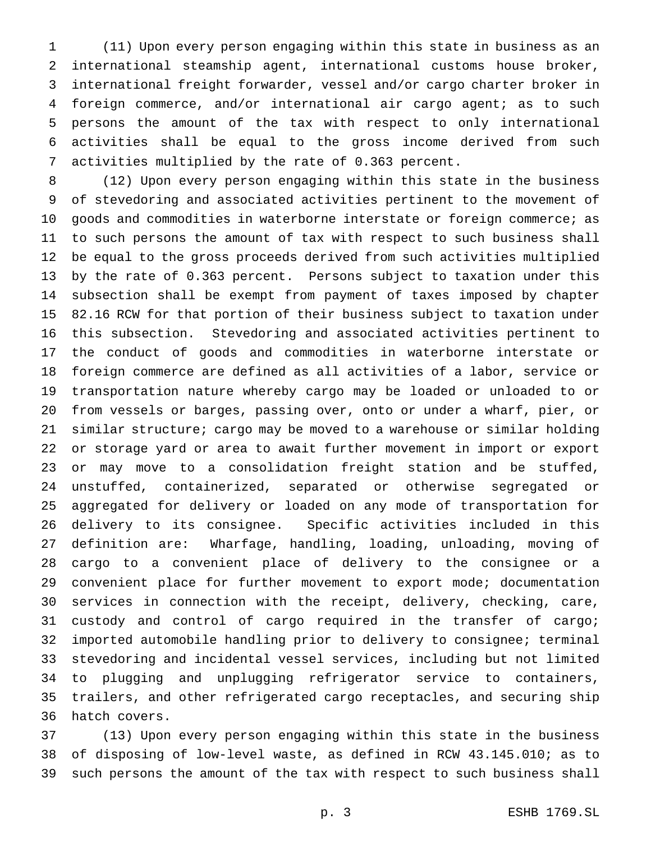(11) Upon every person engaging within this state in business as an international steamship agent, international customs house broker, international freight forwarder, vessel and/or cargo charter broker in foreign commerce, and/or international air cargo agent; as to such persons the amount of the tax with respect to only international activities shall be equal to the gross income derived from such activities multiplied by the rate of 0.363 percent.

 (12) Upon every person engaging within this state in the business of stevedoring and associated activities pertinent to the movement of goods and commodities in waterborne interstate or foreign commerce; as to such persons the amount of tax with respect to such business shall be equal to the gross proceeds derived from such activities multiplied by the rate of 0.363 percent. Persons subject to taxation under this subsection shall be exempt from payment of taxes imposed by chapter 82.16 RCW for that portion of their business subject to taxation under this subsection. Stevedoring and associated activities pertinent to the conduct of goods and commodities in waterborne interstate or foreign commerce are defined as all activities of a labor, service or transportation nature whereby cargo may be loaded or unloaded to or from vessels or barges, passing over, onto or under a wharf, pier, or similar structure; cargo may be moved to a warehouse or similar holding or storage yard or area to await further movement in import or export or may move to a consolidation freight station and be stuffed, unstuffed, containerized, separated or otherwise segregated or aggregated for delivery or loaded on any mode of transportation for delivery to its consignee. Specific activities included in this definition are: Wharfage, handling, loading, unloading, moving of cargo to a convenient place of delivery to the consignee or a convenient place for further movement to export mode; documentation services in connection with the receipt, delivery, checking, care, custody and control of cargo required in the transfer of cargo; imported automobile handling prior to delivery to consignee; terminal stevedoring and incidental vessel services, including but not limited to plugging and unplugging refrigerator service to containers, trailers, and other refrigerated cargo receptacles, and securing ship hatch covers.

 (13) Upon every person engaging within this state in the business of disposing of low-level waste, as defined in RCW 43.145.010; as to such persons the amount of the tax with respect to such business shall